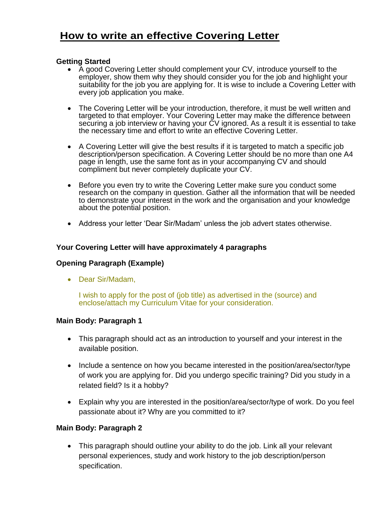# **How to write an effective Covering Letter**

#### **Getting Started**

- A good Covering Letter should complement your CV, introduce yourself to the employer, show them why they should consider you for the job and highlight your suitability for the job you are applying for. It is wise to include a Covering Letter with every job application you make.
- The Covering Letter will be your introduction, therefore, it must be well written and targeted to that employer. Your Covering Letter may make the difference between securing a job interview or having your CV ignored. As a result it is essential to take the necessary time and effort to write an effective Covering Letter.
- A Covering Letter will give the best results if it is targeted to match a specific job description/person specification. A Covering Letter should be no more than one A4 page in length, use the same font as in your accompanying CV and should compliment but never completely duplicate your CV.
- Before you even try to write the Covering Letter make sure you conduct some research on the company in question. Gather all the information that will be needed to demonstrate your interest in the work and the organisation and your knowledge about the potential position.
- Address your letter 'Dear Sir/Madam' unless the job advert states otherwise.

#### **Your Covering Letter will have approximately 4 paragraphs**

#### **Opening Paragraph (Example)**

• Dear Sir/Madam.

I wish to apply for the post of (job title) as advertised in the (source) and enclose/attach my Curriculum Vitae for your consideration.

#### **Main Body: Paragraph 1**

- This paragraph should act as an introduction to yourself and your interest in the available position.
- Include a sentence on how you became interested in the position/area/sector/type of work you are applying for. Did you undergo specific training? Did you study in a related field? Is it a hobby?
- Explain why you are interested in the position/area/sector/type of work. Do you feel passionate about it? Why are you committed to it?

#### **Main Body: Paragraph 2**

• This paragraph should outline your ability to do the job. Link all your relevant personal experiences, study and work history to the job description/person specification.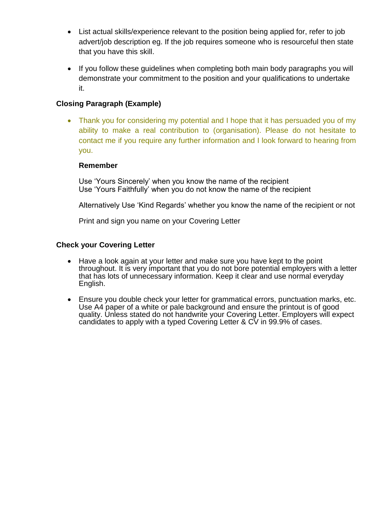- List actual skills/experience relevant to the position being applied for, refer to job advert/job description eg. If the job requires someone who is resourceful then state that you have this skill.
- If you follow these guidelines when completing both main body paragraphs you will demonstrate your commitment to the position and your qualifications to undertake it.

### **Closing Paragraph (Example)**

• Thank you for considering my potential and I hope that it has persuaded you of my ability to make a real contribution to (organisation). Please do not hesitate to contact me if you require any further information and I look forward to hearing from you.

#### **Remember**

Use 'Yours Sincerely' when you know the name of the recipient Use 'Yours Faithfully' when you do not know the name of the recipient

Alternatively Use 'Kind Regards' whether you know the name of the recipient or not

Print and sign you name on your Covering Letter

#### **Check your Covering Letter**

- Have a look again at your letter and make sure you have kept to the point throughout. It is very important that you do not bore potential employers with a letter that has lots of unnecessary information. Keep it clear and use normal everyday English.
- Ensure you double check your letter for grammatical errors, punctuation marks, etc. Use A4 paper of a white or pale background and ensure the printout is of good quality. Unless stated do not handwrite your Covering Letter. Employers will expect candidates to apply with a typed Covering Letter & CV in 99.9% of cases.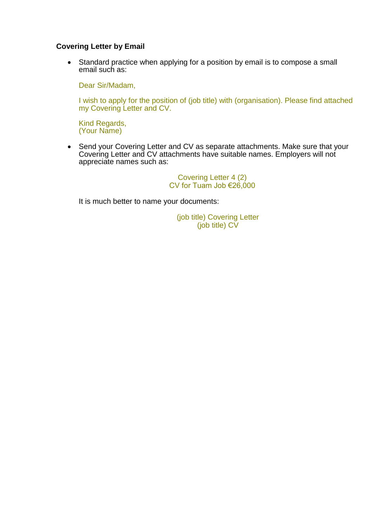#### **Covering Letter by Email**

• Standard practice when applying for a position by email is to compose a small email such as:

Dear Sir/Madam,

I wish to apply for the position of (job title) with (organisation). Please find attached my Covering Letter and CV.

Kind Regards, (Your Name)

• Send your Covering Letter and CV as separate attachments. Make sure that your Covering Letter and CV attachments have suitable names. Employers will not appreciate names such as:

> Covering Letter 4 (2) CV for Tuam Job  $\epsilon$ 26,000

It is much better to name your documents:

(job title) Covering Letter (job title) CV